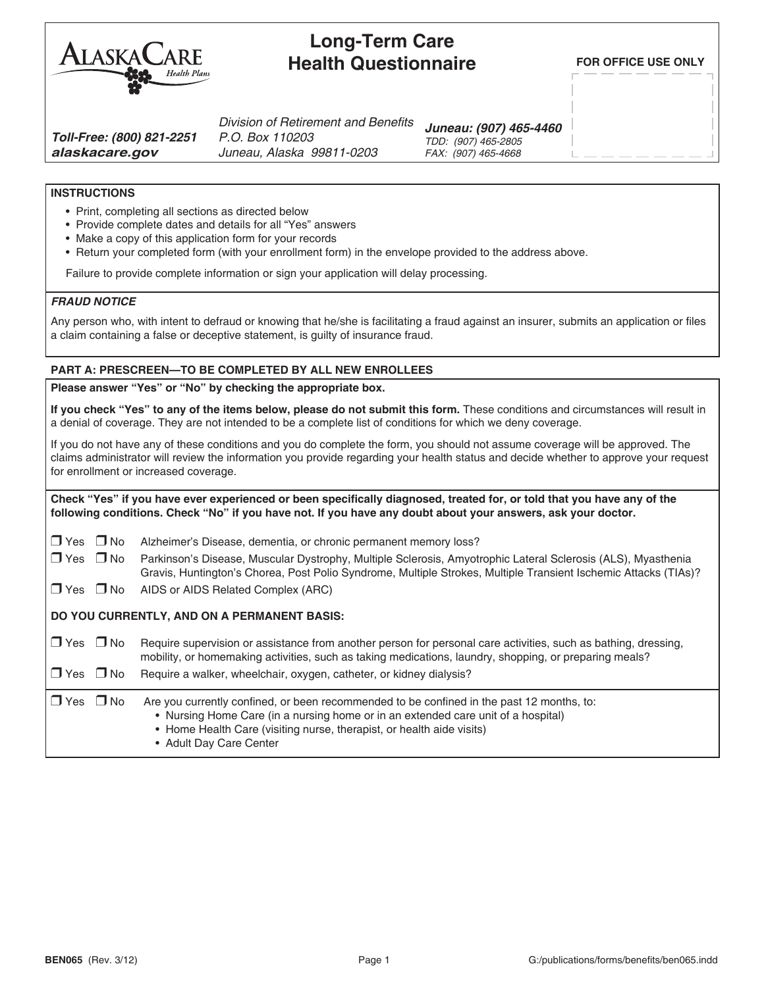

# **Long-Term Care Health Questionnaire**

**FOR OFFICE USE ONLY**

*Toll-Free: (800) 821-2251 alaskacare.gov*

Division of Retirement and Benefits *P.O. Box 110203 Juneau, Alaska 99811-0203*

*Juneau: (907) 465-4460 TDD: (907) 465-2805 FAX: (907) 465-4668*

# **INSTRUCTIONS**

- Print, completing all sections as directed below
- Provide complete dates and details for all "Yes" answers
- Make a copy of this application form for your records
- Return your completed form (with your enrollment form) in the envelope provided to the address above.

Failure to provide complete information or sign your application will delay processing.

## *FRAUD NOTICE*

Any person who, with intent to defraud or knowing that he/she is facilitating a fraud against an insurer, submits an application or files a claim containing a false or deceptive statement, is guilty of insurance fraud.

# **PART A: PRESCREEN—TO BE COMPLETED BY ALL NEW ENROLLEES**

#### **Please answer "Yes" or "No" by checking the appropriate box.**

**If you check "Yes" to any of the items below, please do not submit this form.** These conditions and circumstances will result in a denial of coverage. They are not intended to be a complete list of conditions for which we deny coverage.

If you do not have any of these conditions and you do complete the form, you should not assume coverage will be approved. The claims administrator will review the information you provide regarding your health status and decide whether to approve your request for enrollment or increased coverage.

**Check "Yes" if you have ever experienced or been specifically diagnosed, treated for, or told that you have any of the following conditions. Check "No" if you have not. If you have any doubt about your answers, ask your doctor.**

|  |  | $\Box$ Yes $\Box$ No Alzheimer's Disease, dementia, or chronic permanent memory loss? |  |  |  |  |  |
|--|--|---------------------------------------------------------------------------------------|--|--|--|--|--|
|--|--|---------------------------------------------------------------------------------------|--|--|--|--|--|

**T** Yes **T** No Parkinson's Disease, Muscular Dystrophy, Multiple Sclerosis, Amyotrophic Lateral Sclerosis (ALS), Myasthenia Gravis, Huntington's Chorea, Post Polio Syndrome, Multiple Strokes, Multiple Transient Ischemic Attacks (TIAs)?

 $\Box$  Yes  $\Box$  No AIDS or AIDS Related Complex (ARC)

## **DO YOU CURRENTLY, AND ON A PERMANENT BASIS:**

| $\Box$ Yes $\Box$ No<br>$\Box$ Yes $\Box$ No | Require supervision or assistance from another person for personal care activities, such as bathing, dressing,<br>mobility, or homemaking activities, such as taking medications, laundry, shopping, or preparing meals?<br>Require a walker, wheelchair, oxygen, catheter, or kidney dialysis? |
|----------------------------------------------|-------------------------------------------------------------------------------------------------------------------------------------------------------------------------------------------------------------------------------------------------------------------------------------------------|
| $\Box$ Yes $\Box$ No                         | Are you currently confined, or been recommended to be confined in the past 12 months, to:<br>• Nursing Home Care (in a nursing home or in an extended care unit of a hospital)<br>• Home Health Care (visiting nurse, therapist, or health aide visits)<br>• Adult Day Care Center              |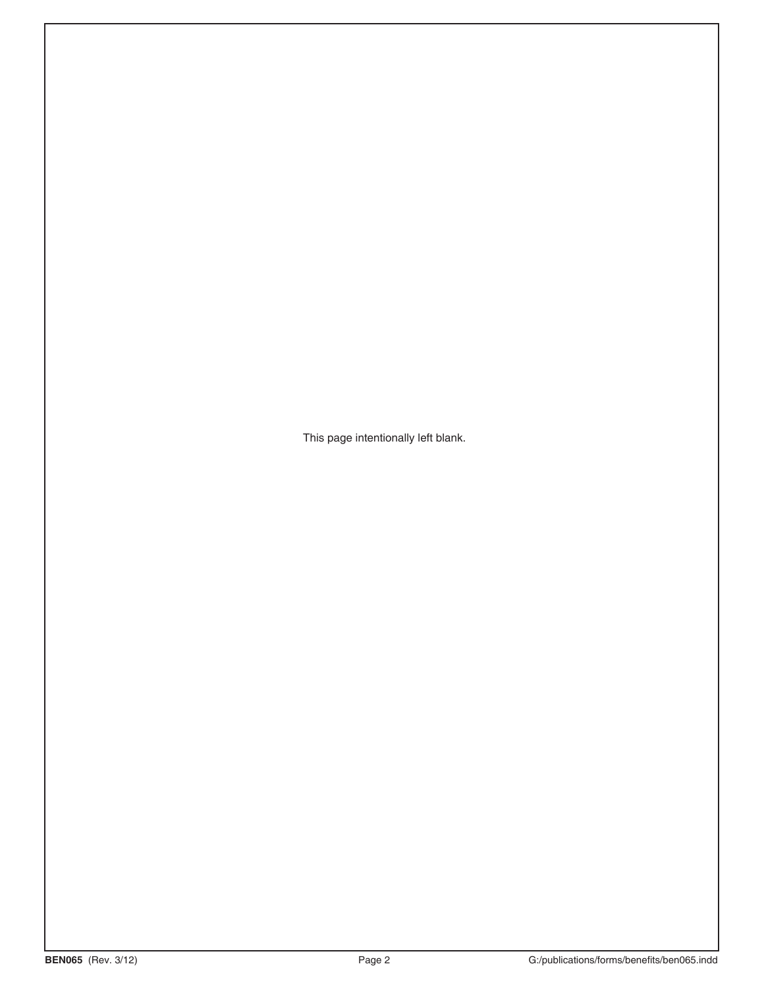This page intentionally left blank.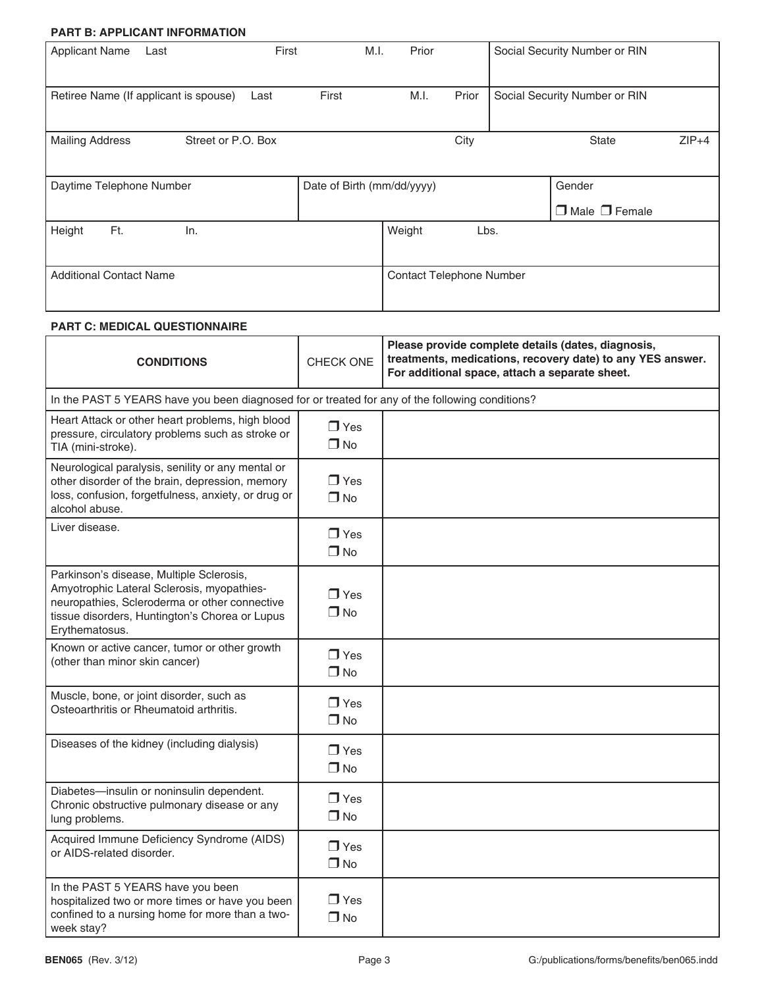# **PART B: APPLICANT INFORMATION**

| <b>Applicant Name</b>          | Last                                  | First |                            | M.I. | Prior                           |       | Social Security Number or RIN |         |
|--------------------------------|---------------------------------------|-------|----------------------------|------|---------------------------------|-------|-------------------------------|---------|
|                                | Retiree Name (If applicant is spouse) | Last  | First                      |      | M.I.                            | Prior | Social Security Number or RIN |         |
| <b>Mailing Address</b>         | Street or P.O. Box                    |       |                            |      |                                 | City  | <b>State</b>                  | $ZIP+4$ |
| Daytime Telephone Number       |                                       |       | Date of Birth (mm/dd/yyyy) |      |                                 |       | Gender                        |         |
|                                |                                       |       |                            |      |                                 |       | $\Box$ Male $\Box$ Female     |         |
| Height<br>Ft.                  | In.                                   |       |                            |      | Weight                          | Lbs.  |                               |         |
|                                |                                       |       |                            |      |                                 |       |                               |         |
| <b>Additional Contact Name</b> |                                       |       |                            |      | <b>Contact Telephone Number</b> |       |                               |         |

# **PART C: MEDICAL QUESTIONNAIRE**

| <b>CONDITIONS</b>                                                                                                                                                                                           | CHECK ONE                                                                                       | Please provide complete details (dates, diagnosis,<br>treatments, medications, recovery date) to any YES answer.<br>For additional space, attach a separate sheet. |  |  |  |  |
|-------------------------------------------------------------------------------------------------------------------------------------------------------------------------------------------------------------|-------------------------------------------------------------------------------------------------|--------------------------------------------------------------------------------------------------------------------------------------------------------------------|--|--|--|--|
|                                                                                                                                                                                                             | In the PAST 5 YEARS have you been diagnosed for or treated for any of the following conditions? |                                                                                                                                                                    |  |  |  |  |
| Heart Attack or other heart problems, high blood<br>pressure, circulatory problems such as stroke or<br>TIA (mini-stroke).                                                                                  | $\Box$ Yes<br>$\Box$ No                                                                         |                                                                                                                                                                    |  |  |  |  |
| Neurological paralysis, senility or any mental or<br>other disorder of the brain, depression, memory<br>loss, confusion, forgetfulness, anxiety, or drug or<br>alcohol abuse.                               | $\Box$ Yes<br>$\Box$ No                                                                         |                                                                                                                                                                    |  |  |  |  |
| Liver disease.                                                                                                                                                                                              | $\Box$ Yes<br>$\Box$ No                                                                         |                                                                                                                                                                    |  |  |  |  |
| Parkinson's disease, Multiple Sclerosis,<br>Amyotrophic Lateral Sclerosis, myopathies-<br>neuropathies, Scleroderma or other connective<br>tissue disorders, Huntington's Chorea or Lupus<br>Erythematosus. | $\Box$ Yes<br>$\Box$ No                                                                         |                                                                                                                                                                    |  |  |  |  |
| Known or active cancer, tumor or other growth<br>(other than minor skin cancer)                                                                                                                             | $\Box$ Yes<br>$\square$ No                                                                      |                                                                                                                                                                    |  |  |  |  |
| Muscle, bone, or joint disorder, such as<br>Osteoarthritis or Rheumatoid arthritis.                                                                                                                         | $\Box$ Yes<br>$\square$ No                                                                      |                                                                                                                                                                    |  |  |  |  |
| Diseases of the kidney (including dialysis)                                                                                                                                                                 | $\Box$ Yes<br>$\square$ No                                                                      |                                                                                                                                                                    |  |  |  |  |
| Diabetes-insulin or noninsulin dependent.<br>Chronic obstructive pulmonary disease or any<br>lung problems.                                                                                                 | $\Box$ Yes<br>$\Box$ No                                                                         |                                                                                                                                                                    |  |  |  |  |
| Acquired Immune Deficiency Syndrome (AIDS)<br>or AIDS-related disorder.                                                                                                                                     | $\Box$ Yes<br>$\Box$ No                                                                         |                                                                                                                                                                    |  |  |  |  |
| In the PAST 5 YEARS have you been<br>hospitalized two or more times or have you been<br>confined to a nursing home for more than a two-<br>week stay?                                                       | $\Box$ Yes<br>$\Box$ No                                                                         |                                                                                                                                                                    |  |  |  |  |